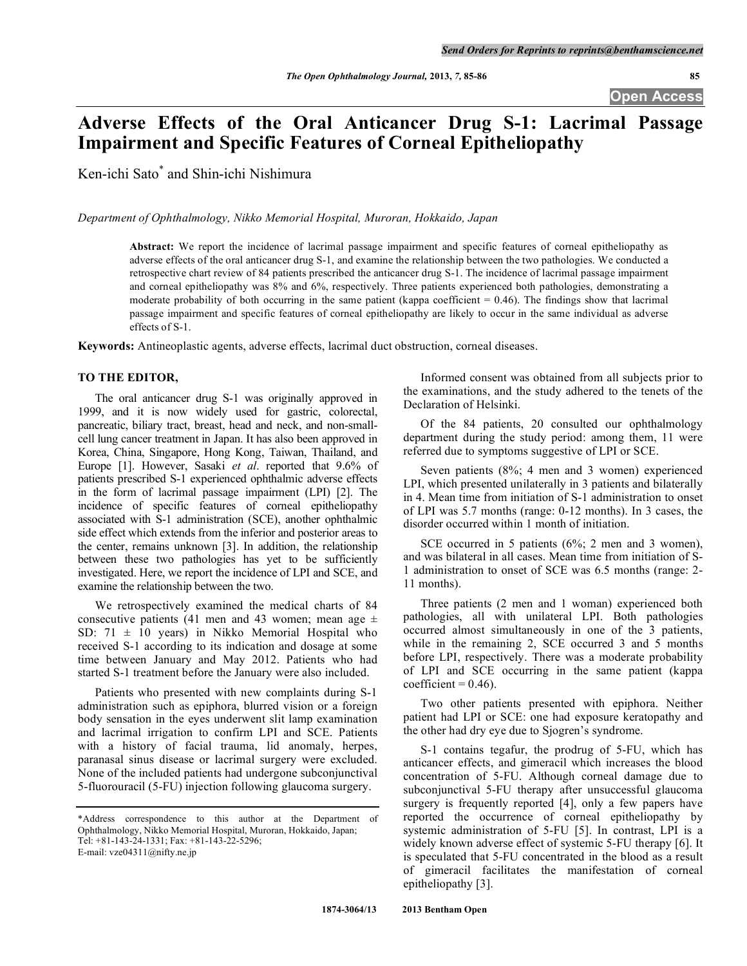# **Adverse Effects of the Oral Anticancer Drug S-1: Lacrimal Passage Impairment and Specific Features of Corneal Epitheliopathy**

Ken-ichi Sato\* and Shin-ichi Nishimura

*Department of Ophthalmology, Nikko Memorial Hospital, Muroran, Hokkaido, Japan*

**Abstract:** We report the incidence of lacrimal passage impairment and specific features of corneal epitheliopathy as adverse effects of the oral anticancer drug S-1, and examine the relationship between the two pathologies. We conducted a retrospective chart review of 84 patients prescribed the anticancer drug S-1. The incidence of lacrimal passage impairment and corneal epitheliopathy was 8% and 6%, respectively. Three patients experienced both pathologies, demonstrating a moderate probability of both occurring in the same patient (kappa coefficient  $= 0.46$ ). The findings show that lacrimal passage impairment and specific features of corneal epitheliopathy are likely to occur in the same individual as adverse effects of S-1.

**Keywords:** Antineoplastic agents, adverse effects, lacrimal duct obstruction, corneal diseases.

# **TO THE EDITOR,**

The oral anticancer drug S-1 was originally approved in 1999, and it is now widely used for gastric, colorectal, pancreatic, biliary tract, breast, head and neck, and non-smallcell lung cancer treatment in Japan. It has also been approved in Korea, China, Singapore, Hong Kong, Taiwan, Thailand, and Europe [1]. However, Sasaki *et al*. reported that 9.6% of patients prescribed S-1 experienced ophthalmic adverse effects in the form of lacrimal passage impairment (LPI) [2]. The incidence of specific features of corneal epitheliopathy associated with S-1 administration (SCE), another ophthalmic side effect which extends from the inferior and posterior areas to the center, remains unknown [3]. In addition, the relationship between these two pathologies has yet to be sufficiently investigated. Here, we report the incidence of LPI and SCE, and examine the relationship between the two.

We retrospectively examined the medical charts of 84 consecutive patients (41 men and 43 women; mean age  $\pm$ SD:  $71 \pm 10$  years) in Nikko Memorial Hospital who received S-1 according to its indication and dosage at some time between January and May 2012. Patients who had started S-1 treatment before the January were also included.

Patients who presented with new complaints during S-1 administration such as epiphora, blurred vision or a foreign body sensation in the eyes underwent slit lamp examination and lacrimal irrigation to confirm LPI and SCE. Patients with a history of facial trauma, lid anomaly, herpes, paranasal sinus disease or lacrimal surgery were excluded. None of the included patients had undergone subconjunctival 5-fluorouracil (5-FU) injection following glaucoma surgery.

Informed consent was obtained from all subjects prior to the examinations, and the study adhered to the tenets of the Declaration of Helsinki.

Of the 84 patients, 20 consulted our ophthalmology department during the study period: among them, 11 were referred due to symptoms suggestive of LPI or SCE.

Seven patients (8%; 4 men and 3 women) experienced LPI, which presented unilaterally in 3 patients and bilaterally in 4. Mean time from initiation of S-1 administration to onset of LPI was 5.7 months (range: 0-12 months). In 3 cases, the disorder occurred within 1 month of initiation.

SCE occurred in 5 patients (6%; 2 men and 3 women), and was bilateral in all cases. Mean time from initiation of S-1 administration to onset of SCE was 6.5 months (range: 2- 11 months).

Three patients (2 men and 1 woman) experienced both pathologies, all with unilateral LPI. Both pathologies occurred almost simultaneously in one of the 3 patients, while in the remaining 2, SCE occurred 3 and 5 months before LPI, respectively. There was a moderate probability of LPI and SCE occurring in the same patient (kappa coefficient =  $0.46$ ).

Two other patients presented with epiphora. Neither patient had LPI or SCE: one had exposure keratopathy and the other had dry eye due to Sjogren's syndrome.

S-1 contains tegafur, the prodrug of 5-FU, which has anticancer effects, and gimeracil which increases the blood concentration of 5-FU. Although corneal damage due to subconjunctival 5-FU therapy after unsuccessful glaucoma surgery is frequently reported [4], only a few papers have reported the occurrence of corneal epitheliopathy by systemic administration of 5-FU [5]. In contrast, LPI is a widely known adverse effect of systemic 5-FU therapy [6]. It is speculated that 5-FU concentrated in the blood as a result of gimeracil facilitates the manifestation of corneal epitheliopathy [3].

<sup>\*</sup>Address correspondence to this author at the Department of Ophthalmology, Nikko Memorial Hospital, Muroran, Hokkaido, Japan; Tel: +81-143-24-1331; Fax: +81-143-22-5296;

E-mail: vze04311@nifty.ne.jp